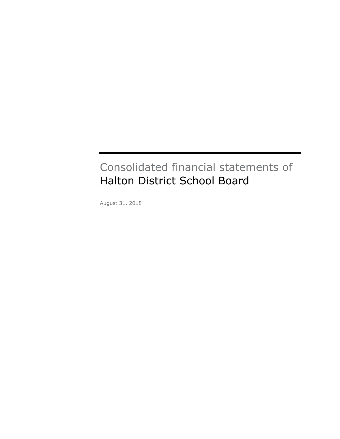# Consolidated financial statements of Halton District School Board

August 31, 2018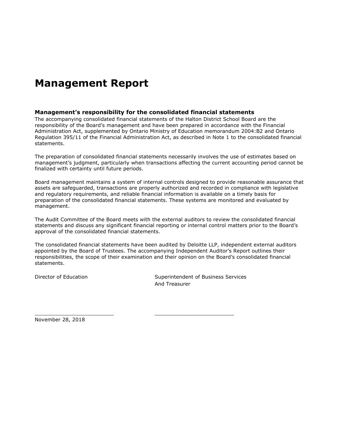# **Management Report**

#### **Management's responsibility for the consolidated financial statements**

The accompanying consolidated financial statements of the Halton District School Board are the responsibility of the Board's management and have been prepared in accordance with the Financial Administration Act, supplemented by Ontario Ministry of Education memorandum 2004:B2 and Ontario Regulation 395/11 of the Financial Administration Act, as described in Note 1 to the consolidated financial statements.

The preparation of consolidated financial statements necessarily involves the use of estimates based on management's judgment, particularly when transactions affecting the current accounting period cannot be finalized with certainty until future periods.

Board management maintains a system of internal controls designed to provide reasonable assurance that assets are safeguarded, transactions are properly authorized and recorded in compliance with legislative and regulatory requirements, and reliable financial information is available on a timely basis for preparation of the consolidated financial statements. These systems are monitored and evaluated by management.

The Audit Committee of the Board meets with the external auditors to review the consolidated financial statements and discuss any significant financial reporting or internal control matters prior to the Board's approval of the consolidated financial statements.

The consolidated financial statements have been audited by Deloitte LLP, independent external auditors appointed by the Board of Trustees. The accompanying Independent Auditor's Report outlines their responsibilities, the scope of their examination and their opinion on the Board's consolidated financial statements.

\_\_\_\_\_\_\_\_\_\_\_\_\_\_\_\_\_\_\_\_\_\_\_\_\_ \_\_\_\_\_\_\_\_\_\_\_\_\_\_\_\_\_\_\_\_\_\_\_\_\_

Director of Education Superintendent of Business Services And Treasurer

November 28, 2018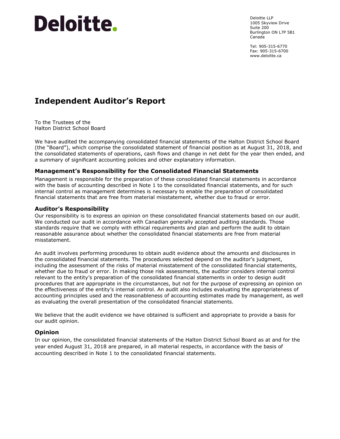# **Deloitte.**

Deloitte LLP 1005 Skyview Drive Suite 200 Burlington ON L7P 5B1 Canada

Tel: 905-315-6770 Fax: 905-315-6700 www.deloitte.ca

# **Independent Auditor's Report**

To the Trustees of the Halton District School Board

We have audited the accompanying consolidated financial statements of the Halton District School Board (the "Board"), which comprise the consolidated statement of financial position as at August 31, 2018, and the consolidated statements of operations, cash flows and change in net debt for the year then ended, and a summary of significant accounting policies and other explanatory information.

# **Management's Responsibility for the Consolidated Financial Statements**

Management is responsible for the preparation of these consolidated financial statements in accordance with the basis of accounting described in Note 1 to the consolidated financial statements, and for such internal control as management determines is necessary to enable the preparation of consolidated financial statements that are free from material misstatement, whether due to fraud or error.

#### **Auditor's Responsibility**

Our responsibility is to express an opinion on these consolidated financial statements based on our audit. We conducted our audit in accordance with Canadian generally accepted auditing standards. Those standards require that we comply with ethical requirements and plan and perform the audit to obtain reasonable assurance about whether the consolidated financial statements are free from material misstatement.

An audit involves performing procedures to obtain audit evidence about the amounts and disclosures in the consolidated financial statements. The procedures selected depend on the auditor's judgment, including the assessment of the risks of material misstatement of the consolidated financial statements, whether due to fraud or error. In making those risk assessments, the auditor considers internal control relevant to the entity's preparation of the consolidated financial statements in order to design audit procedures that are appropriate in the circumstances, but not for the purpose of expressing an opinion on the effectiveness of the entity's internal control. An audit also includes evaluating the appropriateness of accounting principles used and the reasonableness of accounting estimates made by management, as well as evaluating the overall presentation of the consolidated financial statements.

We believe that the audit evidence we have obtained is sufficient and appropriate to provide a basis for our audit opinion.

# **Opinion**

In our opinion, the consolidated financial statements of the Halton District School Board as at and for the year ended August 31, 2018 are prepared, in all material respects, in accordance with the basis of accounting described in Note 1 to the consolidated financial statements.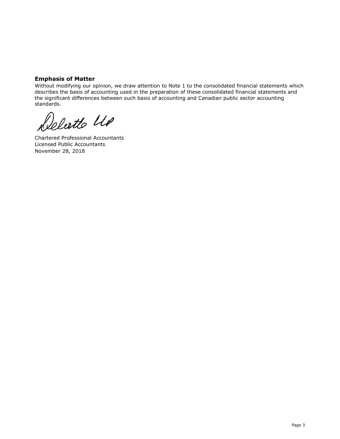# **Emphasis of Matter**

Without modifying our opinion, we draw attention to Note 1 to the consolidated financial statements which describes the basis of accounting used in the preparation of these consolidated financial statements and the significant differences between such basis of accounting and Canadian public sector accounting standards.

Delertte UP

Chartered Professional Accountants Licensed Public Accountants November 28, 2018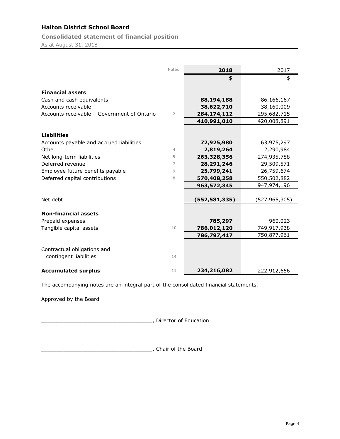**Consolidated statement of financial position**

As at August 31, 2018

|                                             | <b>Notes</b>   | 2018          | 2017            |
|---------------------------------------------|----------------|---------------|-----------------|
|                                             |                | \$            | \$              |
|                                             |                |               |                 |
| <b>Financial assets</b>                     |                |               |                 |
| Cash and cash equivalents                   |                | 88,194,188    | 86,166,167      |
| Accounts receivable                         |                | 38,622,710    | 38,160,009      |
| Accounts receivable - Government of Ontario | 2              | 284,174,112   | 295,682,715     |
|                                             |                | 410,991,010   | 420,008,891     |
| <b>Liabilities</b>                          |                |               |                 |
|                                             |                |               |                 |
| Accounts payable and accrued liabilities    |                | 72,925,980    | 63,975,297      |
| Other                                       | $\overline{4}$ | 2,819,264     | 2,290,984       |
| Net long-term liabilities                   | 5              | 263,328,356   | 274,935,788     |
| Deferred revenue                            | 7              | 28,291,246    | 29,509,571      |
| Employee future benefits payable            | 9              | 25,799,241    | 26,759,674      |
| Deferred capital contributions              | 8              | 570,408,258   | 550,502,882     |
|                                             |                | 963,572,345   | 947,974,196     |
|                                             |                |               |                 |
| Net debt                                    |                | (552,581,335) | (527, 965, 305) |
| <b>Non-financial assets</b>                 |                |               |                 |
| Prepaid expenses                            |                | 785,297       | 960,023         |
| Tangible capital assets                     | 10             | 786,012,120   | 749,917,938     |
|                                             |                | 786,797,417   | 750,877,961     |
|                                             |                |               |                 |
| Contractual obligations and                 |                |               |                 |
| contingent liabilities                      | 14             |               |                 |
| <b>Accumulated surplus</b>                  | 11             | 234,216,082   | 222,912,656     |

The accompanying notes are an integral part of the consolidated financial statements.

Approved by the Board

\_\_\_\_\_\_\_\_\_\_\_\_\_\_\_\_\_\_\_\_\_\_\_\_\_\_\_\_\_\_\_\_\_\_\_, Director of Education

\_\_\_\_\_\_\_\_\_\_\_\_\_\_\_\_\_\_\_\_\_\_\_\_\_\_\_\_\_\_\_\_\_\_\_, Chair of the Board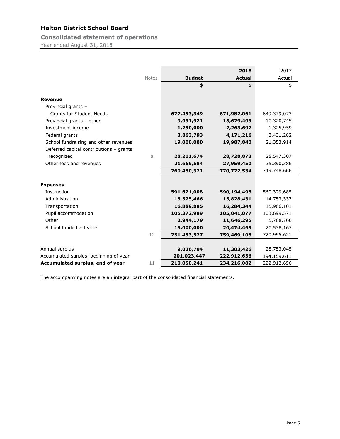**Consolidated statement of operations** Year ended August 31, 2018

|                                         |       |               | 2018          | 2017        |
|-----------------------------------------|-------|---------------|---------------|-------------|
|                                         | Notes | <b>Budget</b> | <b>Actual</b> | Actual      |
|                                         |       | \$            | \$            | \$          |
|                                         |       |               |               |             |
| <b>Revenue</b>                          |       |               |               |             |
| Provincial grants -                     |       |               |               |             |
| <b>Grants for Student Needs</b>         |       | 677,453,349   | 671,982,061   | 649,379,073 |
| Provincial grants - other               |       | 9,031,921     | 15,679,403    | 10,320,745  |
| Investment income                       |       | 1,250,000     | 2,263,692     | 1,325,959   |
| Federal grants                          |       | 3,863,793     | 4,171,216     | 3,431,282   |
| School fundraising and other revenues   |       | 19,000,000    | 19,987,840    | 21,353,914  |
| Deferred capital contributions - grants |       |               |               |             |
| recognized                              | 8     | 28, 211, 674  | 28,728,872    | 28,547,307  |
| Other fees and revenues                 |       | 21,669,584    | 27,959,450    | 35,390,386  |
|                                         |       | 760,480,321   | 770,772,534   | 749,748,666 |
|                                         |       |               |               |             |
| <b>Expenses</b>                         |       |               |               |             |
| Instruction                             |       | 591,671,008   | 590,194,498   | 560,329,685 |
| Administration                          |       | 15,575,466    | 15,828,431    | 14,753,337  |
| Transportation                          |       | 16,889,885    | 16,284,344    | 15,966,101  |
| Pupil accommodation                     |       | 105,372,989   | 105,041,077   | 103,699,571 |
| Other                                   |       | 2,944,179     | 11,646,295    | 5,708,760   |
| School funded activities                |       | 19,000,000    | 20,474,463    | 20,538,167  |
|                                         | 12    | 751,453,527   | 759,469,108   | 720,995,621 |
|                                         |       |               |               |             |
| Annual surplus                          |       | 9,026,794     | 11,303,426    | 28,753,045  |
| Accumulated surplus, beginning of year  |       | 201,023,447   | 222,912,656   | 194,159,611 |
| Accumulated surplus, end of year        | 11    | 210,050,241   | 234,216,082   | 222,912,656 |

The accompanying notes are an integral part of the consolidated financial statements.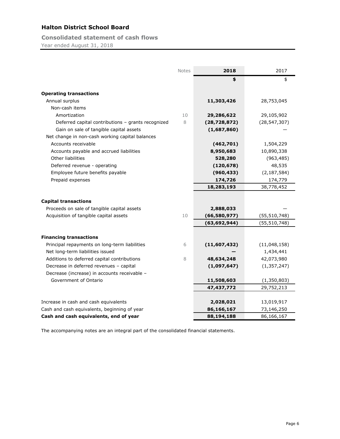**Consolidated statement of cash flows** Year ended August 31, 2018

|                                                    | Notes | 2018           | 2017           |
|----------------------------------------------------|-------|----------------|----------------|
|                                                    |       | \$             | \$             |
| <b>Operating transactions</b>                      |       |                |                |
| Annual surplus                                     |       | 11,303,426     | 28,753,045     |
| Non-cash items                                     |       |                |                |
| Amortization                                       | 10    | 29,286,622     | 29,105,902     |
| Deferred capital contributions - grants recognized | 8     | (28, 728, 872) | (28, 547, 307) |
| Gain on sale of tangible capital assets            |       | (1,687,860)    |                |
| Net change in non-cash working capital balances    |       |                |                |
| Accounts receivable                                |       | (462,701)      | 1,504,229      |
| Accounts payable and accrued liabilities           |       | 8,950,683      | 10,890,338     |
| Other liabilities                                  |       | 528,280        | (963, 485)     |
| Deferred revenue - operating                       |       | (120, 678)     | 48,535         |
| Employee future benefits payable                   |       | (960, 433)     | (2, 187, 584)  |
| Prepaid expenses                                   |       | 174,726        | 174,779        |
|                                                    |       | 18,283,193     | 38,778,452     |
|                                                    |       |                |                |
| <b>Capital transactions</b>                        |       |                |                |
| Proceeds on sale of tangible capital assets        |       | 2,888,033      |                |
| Acquisition of tangible capital assets             | 10    | (66,580,977)   | (55, 510, 748) |
|                                                    |       | (63, 692, 944) | (55, 510, 748) |
| <b>Financing transactions</b>                      |       |                |                |
| Principal repayments on long-term liabilities      | 6     | (11,607,432)   | (11,048,158)   |
| Net long-term liabilities issued                   |       |                | 1,434,441      |
| Additions to deferred capital contributions        | 8     | 48,634,248     | 42,073,980     |
| Decrease in deferred revenues - capital            |       | (1,097,647)    | (1, 357, 247)  |
| Decrease (increase) in accounts receivable -       |       |                |                |
| Government of Ontario                              |       | 11,508,603     | (1, 350, 803)  |
|                                                    |       | 47,437,772     | 29,752,213     |
|                                                    |       |                |                |
| Increase in cash and cash equivalents              |       | 2,028,021      | 13,019,917     |
| Cash and cash equivalents, beginning of year       |       | 86,166,167     | 73,146,250     |
| Cash and cash equivalents, end of year             |       | 88,194,188     | 86,166,167     |

The accompanying notes are an integral part of the consolidated financial statements.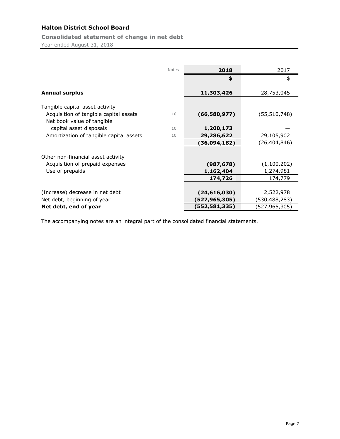**Consolidated statement of change in net debt** Year ended August 31, 2018

|                                                                                                         | <b>Notes</b> | 2018           | 2017           |
|---------------------------------------------------------------------------------------------------------|--------------|----------------|----------------|
|                                                                                                         |              | \$             | \$             |
| <b>Annual surplus</b>                                                                                   |              | 11,303,426     | 28,753,045     |
|                                                                                                         |              |                |                |
| Tangible capital asset activity<br>Acquisition of tangible capital assets<br>Net book value of tangible | 10           | (66,580,977)   | (55, 510, 748) |
| capital asset disposals                                                                                 | 10           | 1,200,173      |                |
| Amortization of tangible capital assets                                                                 | 10           | 29,286,622     | 29,105,902     |
|                                                                                                         |              | (36,094,182)   | (26, 404, 846) |
| Other non-financial asset activity                                                                      |              |                |                |
| Acquisition of prepaid expenses                                                                         |              | (987, 678)     | (1,100,202)    |
| Use of prepaids                                                                                         |              | 1,162,404      | 1,274,981      |
|                                                                                                         |              | 174,726        | 174,779        |
|                                                                                                         |              |                |                |
| (Increase) decrease in net debt                                                                         |              | (24, 616, 030) | 2,522,978      |
| Net debt, beginning of year                                                                             |              | (527,965,305)  | (530,488,283)  |
| Net debt, end of year                                                                                   |              | (552,581,335)  | (527,965,305)  |

The accompanying notes are an integral part of the consolidated financial statements.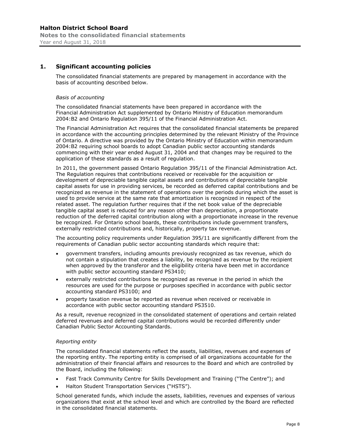## **1. Significant accounting policies**

The consolidated financial statements are prepared by management in accordance with the basis of accounting described below.

#### *Basis of accounting*

The consolidated financial statements have been prepared in accordance with the Financial Administration Act supplemented by Ontario Ministry of Education memorandum 2004:B2 and Ontario Regulation 395/11 of the Financial Administration Act.

The Financial Administration Act requires that the consolidated financial statements be prepared in accordance with the accounting principles determined by the relevant Ministry of the Province of Ontario. A directive was provided by the Ontario Ministry of Education within memorandum 2004:B2 requiring school boards to adopt Canadian public sector accounting standards commencing with their year ended August 31, 2004 and that changes may be required to the application of these standards as a result of regulation.

In 2011, the government passed Ontario Regulation 395/11 of the Financial Administration Act. The Regulation requires that contributions received or receivable for the acquisition or development of depreciable tangible capital assets and contributions of depreciable tangible capital assets for use in providing services, be recorded as deferred capital contributions and be recognized as revenue in the statement of operations over the periods during which the asset is used to provide service at the same rate that amortization is recognized in respect of the related asset. The regulation further requires that if the net book value of the depreciable tangible capital asset is reduced for any reason other than depreciation, a proportionate reduction of the deferred capital contribution along with a proportionate increase in the revenue be recognized. For Ontario school boards, these contributions include government transfers, externally restricted contributions and, historically, property tax revenue.

The accounting policy requirements under Regulation 395/11 are significantly different from the requirements of Canadian public sector accounting standards which require that:

- government transfers, including amounts previously recognized as tax revenue, which do not contain a stipulation that creates a liability, be recognized as revenue by the recipient when approved by the transferor and the eligibility criteria have been met in accordance with public sector accounting standard PS3410;
- externally restricted contributions be recognized as revenue in the period in which the resources are used for the purpose or purposes specified in accordance with public sector accounting standard PS3100; and
- property taxation revenue be reported as revenue when received or receivable in accordance with public sector accounting standard PS3510.

As a result, revenue recognized in the consolidated statement of operations and certain related deferred revenues and deferred capital contributions would be recorded differently under Canadian Public Sector Accounting Standards.

#### *Reporting entity*

The consolidated financial statements reflect the assets, liabilities, revenues and expenses of the reporting entity. The reporting entity is comprised of all organizations accountable for the administration of their financial affairs and resources to the Board and which are controlled by the Board, including the following:

- Fast Track Community Centre for Skills Development and Training ("The Centre"); and
- Halton Student Transportation Services ("HSTS").

School generated funds, which include the assets, liabilities, revenues and expenses of various organizations that exist at the school level and which are controlled by the Board are reflected in the consolidated financial statements.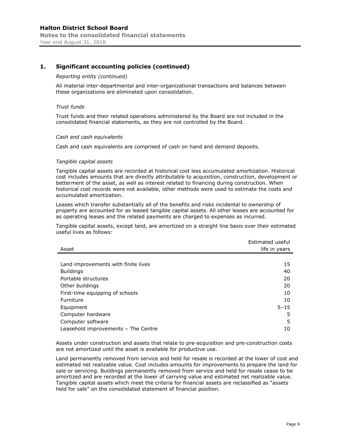#### *Reporting entity (continued)*

All material inter-departmental and inter-organizational transactions and balances between these organizations are eliminated upon consolidation.

#### *Trust funds*

Trust funds and their related operations administered by the Board are not included in the consolidated financial statements, as they are not controlled by the Board.

#### *Cash and cash equivalents*

Cash and cash equivalents are comprised of cash on hand and demand deposits.

#### *Tangible capital assets*

Tangible capital assets are recorded at historical cost less accumulated amortization. Historical cost includes amounts that are directly attributable to acquisition, construction, development or betterment of the asset, as well as interest related to financing during construction. When historical cost records were not available, other methods were used to estimate the costs and accumulated amortization.

Leases which transfer substantially all of the benefits and risks incidental to ownership of property are accounted for as leased tangible capital assets. All other leases are accounted for as operating leases and the related payments are charged to expenses as incurred.

Tangible capital assets, except land, are amortized on a straight line basis over their estimated useful lives as follows:

|                                     | Estimated useful |
|-------------------------------------|------------------|
| Asset                               | life in years    |
|                                     |                  |
| Land improvements with finite lives | 15               |
| <b>Buildings</b>                    | 40               |
| Portable structures                 | 20               |
| Other buildings                     | 20               |
| First-time equipping of schools     | 10               |
| Furniture                           | 10               |
| Equipment                           | $5 - 15$         |
| Computer hardware                   | 5                |
| Computer software                   | 5                |
| Leasehold improvements - The Centre | 10               |

Assets under construction and assets that relate to pre-acquisition and pre-construction costs are not amortized until the asset is available for productive use.

Land permanently removed from service and held for resale is recorded at the lower of cost and estimated net realizable value. Cost includes amounts for improvements to prepare the land for sale or servicing. Buildings permanently removed from service and held for resale cease to be amortized and are recorded at the lower of carrying value and estimated net realizable value. Tangible capital assets which meet the criteria for financial assets are reclassified as "assets held for sale" on the consolidated statement of financial position.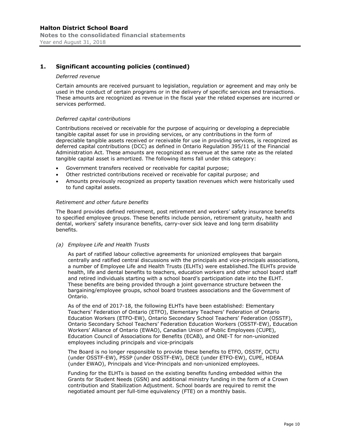#### *Deferred revenue*

Certain amounts are received pursuant to legislation, regulation or agreement and may only be used in the conduct of certain programs or in the delivery of specific services and transactions. These amounts are recognized as revenue in the fiscal year the related expenses are incurred or services performed.

#### *Deferred capital contributions*

Contributions received or receivable for the purpose of acquiring or developing a depreciable tangible capital asset for use in providing services, or any contributions in the form of depreciable tangible assets received or receivable for use in providing services, is recognized as deferred capital contributions (DCC) as defined in Ontario Regulation 395/11 of the Financial Administration Act. These amounts are recognized as revenue at the same rate as the related tangible capital asset is amortized. The following items fall under this category:

- Government transfers received or receivable for capital purpose;
- Other restricted contributions received or receivable for capital purpose; and
- Amounts previously recognized as property taxation revenues which were historically used to fund capital assets.

#### *Retirement and other future benefits*

The Board provides defined retirement, post retirement and workers' safety insurance benefits to specified employee groups. These benefits include pension, retirement gratuity, health and dental, workers' safety insurance benefits, carry-over sick leave and long term disability benefits.

#### *(a) Employee Life and Health Trusts*

As part of ratified labour collective agreements for unionized employees that bargain centrally and ratified central discussions with the principals and vice-principals associations, a number of Employee Life and Health Trusts (ELHTs) were established.The ELHTs provide health, life and dental benefits to teachers, education workers and other school board staff and retired individuals starting with a school board's participation date into the ELHT. These benefits are being provided through a joint governance structure between the bargaining/employee groups, school board trustees associations and the Government of Ontario.

As of the end of 2017-18, the following ELHTs have been established: Elementary Teachers' Federation of Ontario (ETFO), Elementary Teachers' Federation of Ontario Education Workers (ETFO-EW), Ontario Secondary School Teachers' Federation (OSSTF), Ontario Secondary School Teachers' Federation Education Workers (OSSTF-EW), Education Workers' Alliance of Ontario (EWAO), Canadian Union of Public Employees (CUPE), Education Council of Associations for Benefits (ECAB), and ONE-T for non-unionized employees including principals and vice-principals

The Board is no longer responsible to provide these benefits to ETFO, OSSTF, OCTU (under OSSTF-EW), PSSP (under OSSTF-EW), DECE (under ETFO-EW), CUPE, HDEAA (under EWAO), Principals and Vice-Principals and non-unionized employees.

Funding for the ELHTs is based on the existing benefits funding embedded within the Grants for Student Needs (GSN) and additional ministry funding in the form of a Crown contribution and Stabilization Adjustment. School boards are required to remit the negotiated amount per full-time equivalency (FTE) on a monthly basis.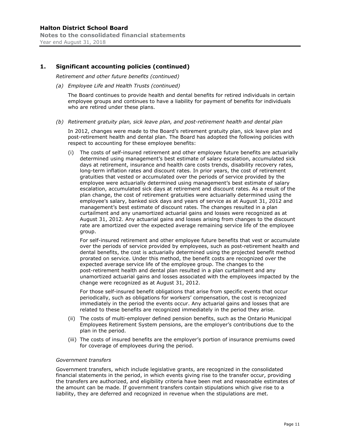*Retirement and other future benefits (continued)* 

*(a) Employee Life and Health Trusts (continued)* 

The Board continues to provide health and dental benefits for retired individuals in certain employee groups and continues to have a liability for payment of benefits for individuals who are retired under these plans.

*(b) Retirement gratuity plan, sick leave plan, and post-retirement health and dental plan* 

In 2012, changes were made to the Board's retirement gratuity plan, sick leave plan and post-retirement health and dental plan. The Board has adopted the following policies with respect to accounting for these employee benefits:

(i) The costs of self-insured retirement and other employee future benefits are actuarially determined using management's best estimate of salary escalation, accumulated sick days at retirement, insurance and health care costs trends, disability recovery rates, long-term inflation rates and discount rates. In prior years, the cost of retirement gratuities that vested or accumulated over the periods of service provided by the employee were actuarially determined using management's best estimate of salary escalation, accumulated sick days at retirement and discount rates. As a result of the plan change, the cost of retirement gratuities were actuarially determined using the employee's salary, banked sick days and years of service as at August 31, 2012 and management's best estimate of discount rates. The changes resulted in a plan curtailment and any unamortized actuarial gains and losses were recognized as at August 31, 2012. Any actuarial gains and losses arising from changes to the discount rate are amortized over the expected average remaining service life of the employee group.

For self-insured retirement and other employee future benefits that vest or accumulate over the periods of service provided by employees, such as post-retirement health and dental benefits, the cost is actuarially determined using the projected benefit method prorated on service. Under this method, the benefit costs are recognized over the expected average service life of the employee group. The changes to the post-retirement health and dental plan resulted in a plan curtailment and any unamortized actuarial gains and losses associated with the employees impacted by the change were recognized as at August 31, 2012.

For those self-insured benefit obligations that arise from specific events that occur periodically, such as obligations for workers' compensation, the cost is recognized immediately in the period the events occur. Any actuarial gains and losses that are related to these benefits are recognized immediately in the period they arise.

- (ii) The costs of multi-employer defined pension benefits, such as the Ontario Municipal Employees Retirement System pensions, are the employer's contributions due to the plan in the period.
- (iii) The costs of insured benefits are the employer's portion of insurance premiums owed for coverage of employees during the period.

#### *Government transfers*

Government transfers, which include legislative grants, are recognized in the consolidated financial statements in the period, in which events giving rise to the transfer occur, providing the transfers are authorized, and eligibility criteria have been met and reasonable estimates of the amount can be made. If government transfers contain stipulations which give rise to a liability, they are deferred and recognized in revenue when the stipulations are met.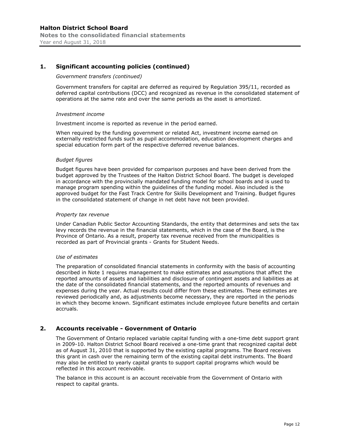#### *Government transfers (continued)*

Government transfers for capital are deferred as required by Regulation 395/11, recorded as deferred capital contributions (DCC) and recognized as revenue in the consolidated statement of operations at the same rate and over the same periods as the asset is amortized.

#### *Investment income*

Investment income is reported as revenue in the period earned.

When required by the funding government or related Act, investment income earned on externally restricted funds such as pupil accommodation, education development charges and special education form part of the respective deferred revenue balances.

#### *Budget figures*

Budget figures have been provided for comparison purposes and have been derived from the budget approved by the Trustees of the Halton District School Board. The budget is developed in accordance with the provincially mandated funding model for school boards and is used to manage program spending within the guidelines of the funding model. Also included is the approved budget for the Fast Track Centre for Skills Development and Training. Budget figures in the consolidated statement of change in net debt have not been provided.

#### *Property tax revenue*

Under Canadian Public Sector Accounting Standards, the entity that determines and sets the tax levy records the revenue in the financial statements, which in the case of the Board, is the Province of Ontario. As a result, property tax revenue received from the municipalities is recorded as part of Provincial grants - Grants for Student Needs.

#### *Use of estimates*

The preparation of consolidated financial statements in conformity with the basis of accounting described in Note 1 requires management to make estimates and assumptions that affect the reported amounts of assets and liabilities and disclosure of contingent assets and liabilities as at the date of the consolidated financial statements, and the reported amounts of revenues and expenses during the year. Actual results could differ from these estimates. These estimates are reviewed periodically and, as adjustments become necessary, they are reported in the periods in which they become known. Significant estimates include employee future benefits and certain accruals.

#### **2. Accounts receivable - Government of Ontario**

The Government of Ontario replaced variable capital funding with a one-time debt support grant in 2009-10. Halton District School Board received a one-time grant that recognized capital debt as of August 31, 2010 that is supported by the existing capital programs. The Board receives this grant in cash over the remaining term of the existing capital debt instruments. The Board may also be entitled to yearly capital grants to support capital programs which would be reflected in this account receivable.

The balance in this account is an account receivable from the Government of Ontario with respect to capital grants.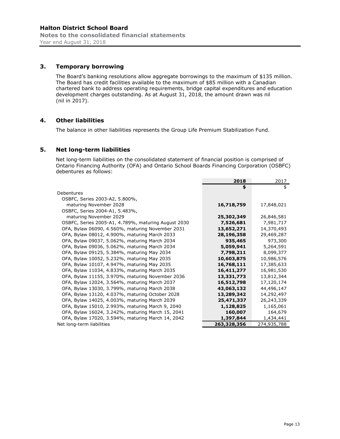### **3. Temporary borrowing**

The Board's banking resolutions allow aggregate borrowings to the maximum of \$135 million. The Board has credit facilities available to the maximum of \$85 million with a Canadian chartered bank to address operating requirements, bridge capital expenditures and education development charges outstanding. As at August 31, 2018, the amount drawn was nil (nil in 2017).

#### **4. Other liabilities**

The balance in other liabilities represents the Group Life Premium Stabilization Fund.

#### **5. Net long-term liabilities**

Net long-term liabilities on the consolidated statement of financial position is comprised of Ontario Financing Authority (OFA) and Ontario School Boards Financing Corporation (OSBFC) debentures as follows:

|                                                     | 2018        | 2017        |
|-----------------------------------------------------|-------------|-------------|
|                                                     | \$          | \$          |
| Debentures                                          |             |             |
| OSBFC, Series 2003-A2, 5.800%,                      |             |             |
| maturing November 2028                              | 16,718,759  | 17,848,021  |
| OSBFC, Series 2004-A1, 5.483%,                      |             |             |
| maturing November 2029                              | 25,302,349  | 26,846,581  |
| OSBFC, Series 2005-A1, 4.789%, maturing August 2030 | 7,526,681   | 7,981,717   |
| OFA, Bylaw 06090, 4.560%, maturing November 2031    | 13,652,271  | 14,370,493  |
| OFA, Bylaw 08012, 4.900%, maturing March 2033       | 28,196,358  | 29,469,287  |
| OFA, Bylaw 09037, 5.062%, maturing March 2034       | 935,465     | 973,300     |
| OFA, Bylaw 09036, 5.062%, maturing March 2034       | 5,059,941   | 5,264,591   |
| OFA, Bylaw 09125, 5.384%, maturing May 2034         | 7,798,211   | 8,099,377   |
| OFA, Bylaw 10052, 5.232%, maturing May 2035         | 10,603,875  | 10,986,576  |
| OFA, Bylaw 10107, 4.947%, maturing May 2035         | 16,768,111  | 17,385,633  |
| OFA, Bylaw 11034, 4.833%, maturing March 2035       | 16,411,277  | 16,981,530  |
| OFA, Bylaw 11155, 3.970%, maturing November 2036    | 13,331,773  | 13,812,344  |
| OFA, Bylaw 12024, 3.564%, maturing March 2037       | 16,512,798  | 17,120,174  |
| OFA, Bylaw 13030, 3.799%, maturing March 2038       | 43,063,132  | 44,496,147  |
| OFA, Bylaw 13120, 4.037%, maturing October 2028     | 13,289,342  | 14,292,497  |
| OFA, Bylaw 14025, 4.003%, maturing March 2039       | 25,471,337  | 26,243,339  |
| OFA, Bylaw 15010, 2.993%, maturing March 9, 2040    | 1,128,825   | 1,165,061   |
| OFA, Bylaw 16024, 3.242%, maturing March 15, 2041   | 160,007     | 164,679     |
| OFA, Bylaw 17020, 3.594%, maturing March 14, 2042   | 1,397,844   | 1,434,441   |
| Net long-term liabilities                           | 263,328,356 | 274,935,788 |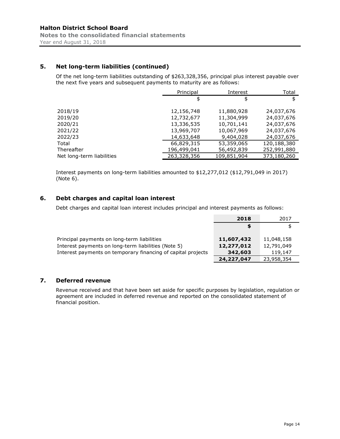# **5. Net long-term liabilities (continued)**

Of the net long-term liabilities outstanding of \$263,328,356, principal plus interest payable over the next five years and subsequent payments to maturity are as follows:

|                           | Principal   | Interest    | Total       |
|---------------------------|-------------|-------------|-------------|
|                           | \$          | \$          | \$          |
| 2018/19                   | 12,156,748  | 11,880,928  | 24,037,676  |
| 2019/20                   | 12,732,677  | 11,304,999  | 24,037,676  |
| 2020/21                   | 13,336,535  | 10,701,141  | 24,037,676  |
| 2021/22                   | 13,969,707  | 10,067,969  | 24,037,676  |
| 2022/23                   | 14,633,648  | 9,404,028   | 24,037,676  |
| Total                     | 66,829,315  | 53,359,065  | 120,188,380 |
| Thereafter                | 196,499,041 | 56,492,839  | 252,991,880 |
| Net long-term liabilities | 263,328,356 | 109,851,904 | 373,180,260 |

Interest payments on long-term liabilities amounted to \$12,277,012 (\$12,791,049 in 2017) (Note 6).

# **6. Debt charges and capital loan interest**

Debt charges and capital loan interest includes principal and interest payments as follows:

|                                                              | 2018       | 2017       |
|--------------------------------------------------------------|------------|------------|
|                                                              | S          | \$         |
|                                                              |            |            |
| Principal payments on long-term liabilities                  | 11,607,432 | 11,048,158 |
| Interest payments on long-term liabilities (Note 5)          | 12,277,012 | 12,791,049 |
| Interest payments on temporary financing of capital projects | 342,603    | 119,147    |
|                                                              | 24,227,047 | 23,958,354 |

# **7. Deferred revenue**

Revenue received and that have been set aside for specific purposes by legislation, regulation or agreement are included in deferred revenue and reported on the consolidated statement of financial position.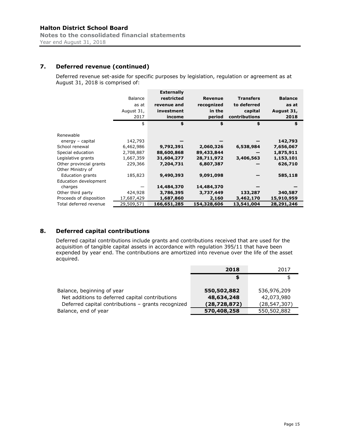# **7. Deferred revenue (continued)**

Deferred revenue set-aside for specific purposes by legislation, regulation or agreement as at August 31, 2018 is comprised of:

|                         |            | <b>Externally</b> |                |                  |                |
|-------------------------|------------|-------------------|----------------|------------------|----------------|
|                         | Balance    | restricted        | <b>Revenue</b> | <b>Transfers</b> | <b>Balance</b> |
|                         | as at      | revenue and       | recognized     | to deferred      | as at          |
|                         | August 31, | investment        | in the         | capital          | August 31,     |
|                         | 2017       | income            | period         | contributions    | 2018           |
|                         | \$         | \$                | \$             | \$               | \$             |
| Renewable               |            |                   |                |                  |                |
| energy - capital        | 142,793    |                   |                |                  | 142,793        |
| School renewal          | 6,462,986  | 9,792,391         | 2,060,326      | 6,538,984        | 7,656,067      |
| Special education       | 2,708,887  | 88,600,868        | 89,433,844     |                  | 1,875,911      |
| Legislative grants      | 1,667,359  | 31,604,277        | 28,711,972     | 3,406,563        | 1,153,101      |
| Other provincial grants | 229,366    | 7,204,731         | 6,807,387      |                  | 626,710        |
| Other Ministry of       |            |                   |                |                  |                |
| Education grants        | 185,823    | 9,490,393         | 9,091,098      |                  | 585,118        |
| Education development   |            |                   |                |                  |                |
| charges                 |            | 14,484,370        | 14,484,370     |                  |                |
| Other third party       | 424,928    | 3,786,395         | 3,737,449      | 133,287          | 340,587        |
| Proceeds of disposition | 17,687,429 | 1,687,860         | 2,160          | 3,462,170        | 15,910,959     |
| Total deferred revenue  | 29,509,571 | 166,651,285       | 154,328,606    | 13,541,004       | 28,291,246     |

# **8. Deferred capital contributions**

Deferred capital contributions include grants and contributions received that are used for the acquisition of tangible capital assets in accordance with regulation 395/11 that have been expended by year end. The contributions are amortized into revenue over the life of the asset acquired.

|                                                    | 2018           | 2017         |
|----------------------------------------------------|----------------|--------------|
|                                                    | S              |              |
|                                                    |                |              |
| Balance, beginning of year                         | 550,502,882    | 536,976,209  |
| Net additions to deferred capital contributions    | 48,634,248     | 42,073,980   |
| Deferred capital contributions - grants recognized | (28, 728, 872) | (28,547,307) |
| Balance, end of year                               | 570,408,258    | 550,502,882  |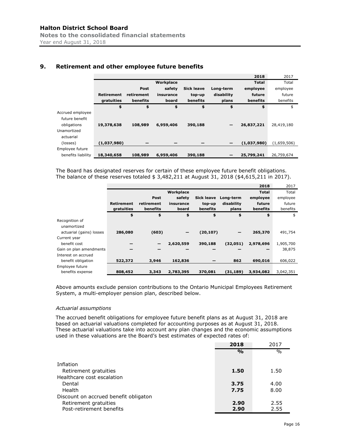|                    |             |            |           |                   |            | 2018         | 2017        |
|--------------------|-------------|------------|-----------|-------------------|------------|--------------|-------------|
|                    |             |            | Workplace |                   |            | <b>Total</b> | Total       |
|                    |             | Post       | safety    | <b>Sick leave</b> | Long-term  | employee     | employee    |
|                    | Retirement  | retirement | insurance | top-up            | disability | future       | future      |
|                    | gratuities  | benefits   | board     | benefits          | plans      | benefits     | benefits    |
|                    | \$          | \$         | \$        | \$                | \$         | \$           | \$          |
| Accrued employee   |             |            |           |                   |            |              |             |
| future benefit     |             |            |           |                   |            |              |             |
| obligations        | 19,378,638  | 108,989    | 6,959,406 | 390,188           |            | 26,837,221   | 28,419,180  |
| Unamortized        |             |            |           |                   |            |              |             |
| actuarial          |             |            |           |                   |            |              |             |
| (losses)           | (1,037,980) |            |           |                   |            | (1,037,980)  | (1,659,506) |
| Employee future    |             |            |           |                   |            |              |             |
| benefits liability | 18,340,658  | 108,989    | 6,959,406 | 390,188           |            | 25,799,241   | 26,759,674  |

# **9. Retirement and other employee future benefits**

The Board has designated reserves for certain of these employee future benefit obligations. The balance of these reserves totaled \$ 3,482,211 at August 31, 2018 (\$4,615,211 in 2017).

|                          |            |            |                   |            |            | 2018      | 2017      |
|--------------------------|------------|------------|-------------------|------------|------------|-----------|-----------|
|                          |            |            | Workplace         |            |            | Total     | Total     |
|                          |            | Post       | safety            | Sick leave | Long-term  | employee  | employee  |
|                          | Retirement | retirement | insurance         | top-up     | disability | future    | future    |
|                          | gratuities | benefits   | board             | benefits   | plans      | benefits  | benefits  |
|                          | \$         | \$         | \$                | \$         | \$         | \$        | \$        |
| Recognition of           |            |            |                   |            |            |           |           |
| unamortized              |            |            |                   |            |            |           |           |
| actuarial (gains) losses | 286,080    | (603)      | $\qquad \qquad -$ | (20, 107)  |            | 265,370   | 491,754   |
| Current year             |            |            |                   |            |            |           |           |
| benefit cost             |            |            | 2,620,559         | 390,188    | (32,051)   | 2,978,696 | 1,905,700 |
| Gain on plan amendments  |            |            |                   |            |            |           | 38,875    |
| Interest on accrued      |            |            |                   |            |            |           |           |
| benefit obligation       | 522,372    | 3,946      | 162,836           |            | 862        | 690,016   | 606,022   |
| Employee future          |            |            |                   |            |            |           |           |
| benefits expense         | 808,452    | 3,343      | 2,783,395         | 370,081    | (31, 189)  | 3,934,082 | 3,042,351 |

Above amounts exclude pension contributions to the Ontario Municipal Employees Retirement System, a multi-employer pension plan, described below.

#### *Actuarial assumptions*

The accrued benefit obligations for employee future benefit plans as at August 31, 2018 are based on actuarial valuations completed for accounting purposes as at August 31, 2018. These actuarial valuations take into account any plan changes and the economic assumptions used in these valuations are the Board's best estimates of expected rates of:

|                                       | 2018          | 2017          |
|---------------------------------------|---------------|---------------|
|                                       | $\frac{0}{0}$ | $\frac{0}{0}$ |
|                                       |               |               |
| Inflation                             |               |               |
| Retirement gratuities                 | 1.50          | 1.50          |
| Healthcare cost escalation            |               |               |
| Dental                                | 3.75          | 4.00          |
| Health                                | 7.75          | 8.00          |
| Discount on accrued benefit obligaton |               |               |
| Retirement gratuities                 | 2.90          | 2.55          |
| Post-retirement benefits              | 2.90          | 2.55          |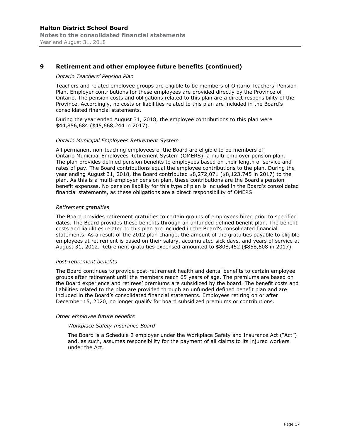## **9 Retirement and other employee future benefits (continued)**

#### *Ontario Teachers' Pension Plan*

Teachers and related employee groups are eligible to be members of Ontario Teachers' Pension Plan. Employer contributions for these employees are provided directly by the Province of Ontario. The pension costs and obligations related to this plan are a direct responsibility of the Province. Accordingly, no costs or liabilities related to this plan are included in the Board's consolidated financial statements.

During the year ended August 31, 2018, the employee contributions to this plan were \$44,856,684 (\$45,668,244 in 2017).

#### *Ontario Municipal Employees Retirement System*

All permanent non-teaching employees of the Board are eligible to be members of Ontario Municipal Employees Retirement System (OMERS), a multi-employer pension plan. The plan provides defined pension benefits to employees based on their length of service and rates of pay. The Board contributions equal the employee contributions to the plan. During the year ending August 31, 2018, the Board contributed \$8,272,071 (\$8,123,745 in 2017) to the plan. As this is a multi-employer pension plan, these contributions are the Board's pension benefit expenses. No pension liability for this type of plan is included in the Board's consolidated financial statements, as these obligations are a direct responsibility of OMERS.

#### *Retirement gratuities*

The Board provides retirement gratuities to certain groups of employees hired prior to specified dates. The Board provides these benefits through an unfunded defined benefit plan. The benefit costs and liabilities related to this plan are included in the Board's consolidated financial statements. As a result of the 2012 plan change, the amount of the gratuities payable to eligible employees at retirement is based on their salary, accumulated sick days, and years of service at August 31, 2012. Retirement gratuities expensed amounted to \$808,452 (\$858,508 in 2017).

#### *Post-retirement benefits*

The Board continues to provide post-retirement health and dental benefits to certain employee groups after retirement until the members reach 65 years of age. The premiums are based on the Board experience and retirees' premiums are subsidized by the board. The benefit costs and liabilities related to the plan are provided through an unfunded defined benefit plan and are included in the Board's consolidated financial statements. Employees retiring on or after December 15, 2020, no longer qualify for board subsidized premiums or contributions.

#### *Other employee future benefits*

#### *Workplace Safety Insurance Board*

The Board is a Schedule 2 employer under the Workplace Safety and Insurance Act ("Act") and, as such, assumes responsibility for the payment of all claims to its injured workers under the Act.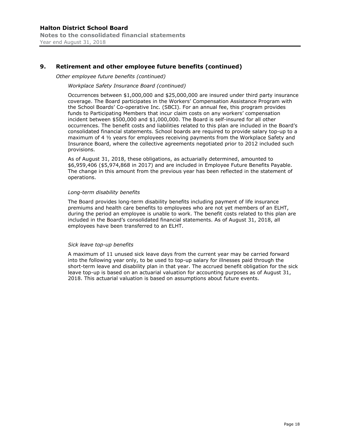# **9. Retirement and other employee future benefits (continued)**

*Other employee future benefits (continued)* 

#### *Workplace Safety Insurance Board (continued)*

Occurrences between \$1,000,000 and \$25,000,000 are insured under third party insurance coverage. The Board participates in the Workers' Compensation Assistance Program with the School Boards' Co-operative Inc. (SBCI). For an annual fee, this program provides funds to Participating Members that incur claim costs on any workers' compensation incident between \$500,000 and \$1,000,000. The Board is self-insured for all other occurrences. The benefit costs and liabilities related to this plan are included in the Board's consolidated financial statements. School boards are required to provide salary top-up to a maximum of 4 ½ years for employees receiving payments from the Workplace Safety and Insurance Board, where the collective agreements negotiated prior to 2012 included such provisions.

As of August 31, 2018, these obligations, as actuarially determined, amounted to \$6,959,406 (\$5,974,868 in 2017) and are included in Employee Future Benefits Payable. The change in this amount from the previous year has been reflected in the statement of operations.

#### *Long-term disability benefits*

The Board provides long-term disability benefits including payment of life insurance premiums and health care benefits to employees who are not yet members of an ELHT, during the period an employee is unable to work. The benefit costs related to this plan are included in the Board's consolidated financial statements. As of August 31, 2018, all employees have been transferred to an ELHT.

#### *Sick leave top-up benefits*

A maximum of 11 unused sick leave days from the current year may be carried forward into the following year only, to be used to top-up salary for illnesses paid through the short-term leave and disability plan in that year. The accrued benefit obligation for the sick leave top-up is based on an actuarial valuation for accounting purposes as of August 31, 2018. This actuarial valuation is based on assumptions about future events.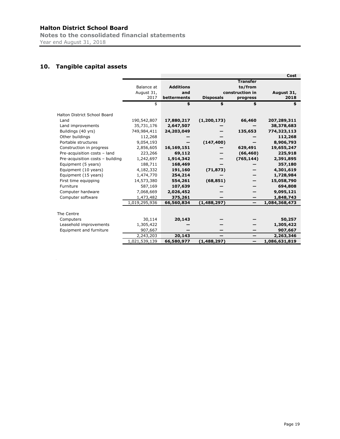**Notes to the consolidated financial statements**  Year end August 31, 2018

# **10. Tangible capital assets**

|                                  |               |                  |                  |                          | Cost          |
|----------------------------------|---------------|------------------|------------------|--------------------------|---------------|
|                                  |               |                  |                  | <b>Transfer</b>          |               |
|                                  | Balance at    | <b>Additions</b> |                  | to/from                  |               |
|                                  | August 31,    | and              |                  | construction in          | August 31,    |
|                                  | 2017          | betterments      | <b>Disposals</b> | progress                 | 2018          |
|                                  | \$            | \$               | \$               | \$                       | \$            |
|                                  |               |                  |                  |                          |               |
| Halton District School Board     |               |                  |                  |                          |               |
| Land                             | 190,542,807   | 17,880,217       | (1, 200, 173)    | 66,460                   | 207,289,311   |
| Land improvements                | 35,731,176    | 2,647,507        |                  |                          | 38,378,683    |
| Buildings (40 yrs)               | 749,984,411   | 24,203,049       |                  | 135,653                  | 774,323,113   |
| Other buildings                  | 112,268       |                  |                  |                          | 112,268       |
| Portable structures              | 9,054,193     |                  | (147, 400)       |                          | 8,906,793     |
| Construction in progress         | 2,856,605     | 16,169,151       |                  | 629,491                  | 19,655,247    |
| Pre-acquisition costs - land     | 223,266       | 69,112           |                  | (66, 460)                | 225,918       |
| Pre-acquisition costs - building | 1,242,697     | 1,914,342        |                  | (765, 144)               | 2,391,895     |
| Equipment (5 years)              | 188,711       | 168,469          |                  |                          | 357,180       |
| Equipment (10 years)             | 4,182,332     | 191,160          | (71, 873)        |                          | 4,301,619     |
| Equipment (15 years)             | 1,474,770     | 254,214          |                  |                          | 1,728,984     |
| First time equipping             | 14,573,380    | 554,261          | (68, 851)        |                          | 15,058,790    |
| Furniture                        | 587,169       | 107,639          |                  |                          | 694,808       |
| Computer hardware                | 7,068,669     | 2,026,452        |                  |                          | 9,095,121     |
| Computer software                | 1,473,482     | 375,261          |                  |                          | 1,848,743     |
|                                  | 1,019,295,936 | 66,560,834       | (1,488,297)      | $\overline{\phantom{0}}$ | 1,084,368,473 |
|                                  |               |                  |                  |                          |               |
| The Centre                       |               |                  |                  |                          |               |
| Computers                        | 30,114        | 20,143           |                  |                          | 50,257        |
| Leasehold improvements           | 1,305,422     |                  |                  |                          | 1,305,422     |
| Equipment and furniture          | 907,667       |                  |                  |                          | 907,667       |
|                                  | 2,243,203     | 20,143           |                  | —                        | 2,263,346     |
|                                  | 1,021,539,139 | 66,580,977       | (1,488,297)      | —                        | 1,086,631,819 |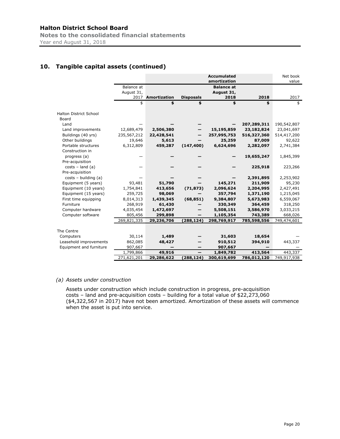## **Halton District School Board Notes to the consolidated financial statements**

Year end August 31, 2018

# **10. Tangible capital assets (continued)**

|                         |             |                     |                          | <b>Accumulated</b><br>amortization |             | Net book<br>value |
|-------------------------|-------------|---------------------|--------------------------|------------------------------------|-------------|-------------------|
|                         | Balance at  |                     |                          | <b>Balance at</b>                  |             |                   |
|                         | August 31,  |                     |                          | August 31,                         |             |                   |
|                         | 2017        | <b>Amortization</b> | <b>Disposals</b>         | 2018                               | 2018        | 2017              |
|                         | \$          | \$                  | \$                       | \$                                 | \$          | \$                |
|                         |             |                     |                          |                                    |             |                   |
| Halton District School  |             |                     |                          |                                    |             |                   |
| Board                   |             |                     |                          |                                    |             |                   |
| Land                    |             |                     |                          |                                    | 207,289,311 | 190,542,807       |
| Land improvements       | 12,689,479  | 2,506,380           |                          | 15,195,859                         | 23,182,824  | 23,041,697        |
| Buildings (40 yrs)      | 235,567,212 | 22,428,541          |                          | 257,995,753                        | 516,327,360 | 514,417,200       |
| Other buildings         | 19,646      | 5,613               |                          | 25,259                             | 87,009      | 92,622            |
| Portable structures     | 6,312,809   | 459,287             | (147, 400)               | 6,624,696                          | 2,282,097   | 2,741,384         |
| Construction in         |             |                     |                          |                                    |             |                   |
| progress (a)            |             |                     |                          |                                    | 19,655,247  | 1,845,399         |
| Pre-acquisition         |             |                     |                          |                                    |             |                   |
| $costs - land(a)$       |             |                     |                          |                                    | 225,918     | 223,266           |
| Pre-acquisition         |             |                     |                          |                                    |             |                   |
| $costs - building(a)$   |             |                     |                          |                                    | 2,391,895   | 2,253,902         |
| Equipment (5 years)     | 93,481      | 51,790              |                          | 145,271                            | 211,909     | 95,230            |
| Equipment (10 years)    | 1,754,841   | 413,656             | (71, 873)                | 2,096,624                          | 2,204,995   | 2,427,491         |
| Equipment (15 years)    | 259,725     | 98,069              |                          | 357,794                            | 1,371,190   | 1,215,045         |
| First time equipping    | 8,014,313   | 1,439,345           | (68, 851)                | 9,384,807                          | 5,673,983   | 6,559,067         |
| Furniture               | 268,919     | 61,430              |                          | 330,349                            | 364,459     | 318,250           |
| Computer hardware       | 4,035,454   | 1,472,697           |                          | 5,508,151                          | 3,586,970   | 3,033,215         |
| Computer software       | 805,456     | 299,898             |                          | 1,105,354                          | 743,389     | 668,026           |
|                         | 269,821,335 | 29,236,706          | (288, 124)               | 298,769,917                        | 785,598,556 | 749,474,601       |
|                         |             |                     |                          |                                    |             |                   |
| The Centre              |             |                     |                          |                                    |             |                   |
| Computers               | 30,114      | 1,489               |                          | 31,603                             | 18,654      |                   |
| Leasehold improvements  | 862,085     | 48,427              |                          | 910,512                            | 394,910     | 443,337           |
| Equipment and furniture | 907,667     |                     |                          | 907,667                            |             |                   |
|                         | 1,799,866   | 49,916              | $\overline{\phantom{0}}$ | 1,849,782                          | 413,564     | 443,337           |
|                         | 271,621,201 | 29,286,622          | (288, 124)               | 300,619,699                        | 786,012,120 | 749,917,938       |

#### *(a) Assets under construction*

Assets under construction which include construction in progress, pre-acquisition costs – land and pre-acquisition costs – building for a total value of \$22,273,060 (\$4,322,567 in 2017) have not been amortized. Amortization of these assets will commence when the asset is put into service.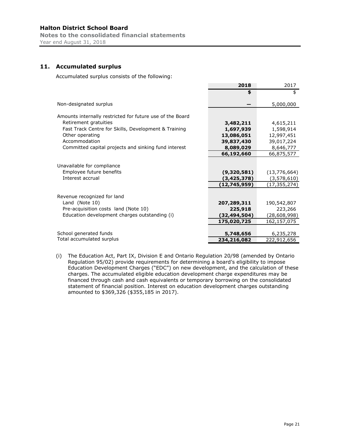**Notes to the consolidated financial statements**  Year end August 31, 2018

## **11. Accumulated surplus**

Accumulated surplus consists of the following:

|                                                                            | 2018                                         | 2017                                        |
|----------------------------------------------------------------------------|----------------------------------------------|---------------------------------------------|
|                                                                            | \$                                           | \$                                          |
| Non-designated surplus                                                     |                                              | 5,000,000                                   |
| Amounts internally restricted for future use of the Board                  |                                              |                                             |
| Retirement gratuities                                                      | 3,482,211                                    | 4,615,211                                   |
| Fast Track Centre for Skills, Development & Training                       | 1,697,939                                    | 1,598,914                                   |
| Other operating                                                            | 13,086,051                                   | 12,997,451                                  |
| Accommodation                                                              | 39,837,430                                   | 39,017,224                                  |
| Committed capital projects and sinking fund interest                       | 8,089,029                                    | 8,646,777                                   |
|                                                                            | 66,192,660                                   | 66,875,577                                  |
| Unavailable for compliance<br>Employee future benefits<br>Interest accrual | (9,320,581)<br>(3, 425, 378)<br>(12,745,959) | (13,776,664)<br>(3,578,610)<br>(17,355,274) |
| Revenue recognized for land                                                |                                              |                                             |
| Land (Note 10)                                                             | 207,289,311                                  | 190,542,807                                 |
| Pre-acquisition costs land (Note 10)                                       | 225,918                                      | 223,266                                     |
| Education development charges outstanding (i)                              | (32,494,504)                                 | (28,608,998)                                |
|                                                                            | 175,020,725                                  | 162,157,075                                 |
| School generated funds                                                     | 5,748,656                                    | 6,235,278                                   |
| Total accumulated surplus                                                  | 234,216,082                                  | 222,912,656                                 |

(i) The Education Act, Part IX, Division E and Ontario Regulation 20/98 (amended by Ontario Regulation 95/02) provide requirements for determining a board's eligibility to impose Education Development Charges ("EDC") on new development, and the calculation of these charges. The accumulated eligible education development charge expenditures may be financed through cash and cash equivalents or temporary borrowing on the consolidated statement of financial position. Interest on education development charges outstanding amounted to \$369,326 (\$355,185 in 2017).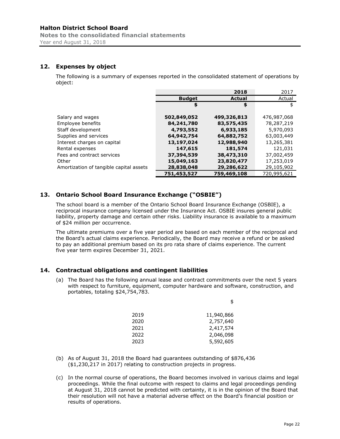**Notes to the consolidated financial statements**  Year end August 31, 2018

## **12. Expenses by object**

The following is a summary of expenses reported in the consolidated statement of operations by object:

|                                         |               | 2018          | 2017        |
|-----------------------------------------|---------------|---------------|-------------|
|                                         | <b>Budget</b> | <b>Actual</b> | Actual      |
|                                         | \$            | \$            | \$          |
|                                         |               |               |             |
| Salary and wages                        | 502,849,052   | 499,326,813   | 476,987,068 |
| Employee benefits                       | 84,241,780    | 83,575,435    | 78,287,219  |
| Staff development                       | 4,793,552     | 6,933,185     | 5,970,093   |
| Supplies and services                   | 64,942,754    | 64,882,752    | 63,003,449  |
| Interest charges on capital             | 13,197,024    | 12,988,940    | 13,265,381  |
| Rental expenses                         | 147,615       | 181,574       | 121,031     |
| Fees and contract services              | 37,394,539    | 38,473,310    | 37,002,459  |
| Other                                   | 15,049,163    | 23,820,477    | 17,253,019  |
| Amortization of tangible capital assets | 28,838,048    | 29,286,622    | 29,105,902  |
|                                         | 751,453,527   | 759,469,108   | 720,995,621 |

# **13. Ontario School Board Insurance Exchange ("OSBIE")**

The school board is a member of the Ontario School Board Insurance Exchange (OSBIE), a reciprocal insurance company licensed under the Insurance Act. OSBIE insures general public liability, property damage and certain other risks. Liability insurance is available to a maximum of \$24 million per occurrence.

The ultimate premiums over a five year period are based on each member of the reciprocal and the Board's actual claims experience. Periodically, the Board may receive a refund or be asked to pay an additional premium based on its pro rata share of claims experience. The current five year term expires December 31, 2021.

# **14. Contractual obligations and contingent liabilities**

(a) The Board has the following annual lease and contract commitments over the next 5 years with respect to furniture, equipment, computer hardware and software, construction, and portables, totaling \$24,754,783.

| 2019 | 11,940,866 |
|------|------------|
| 2020 | 2,757,640  |
| 2021 | 2,417,574  |
| 2022 | 2,046,098  |
| 2023 | 5,592,605  |

\$

- (b) As of August 31, 2018 the Board had guarantees outstanding of \$876,436 (\$1,230,217 in 2017) relating to construction projects in progress.
- (c) In the normal course of operations, the Board becomes involved in various claims and legal proceedings. While the final outcome with respect to claims and legal proceedings pending at August 31, 2018 cannot be predicted with certainty, it is in the opinion of the Board that their resolution will not have a material adverse effect on the Board's financial position or results of operations.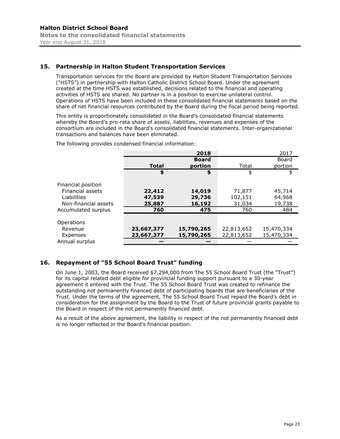## **15. Partnership in Halton Student Transportation Services**

Transportation services for the Board are provided by Halton Student Transportation Services ("HSTS") in partnership with Halton Catholic District School Board. Under the agreement created at the time HSTS was established, decisions related to the financial and operating activities of HSTS are shared. No partner is in a position to exercise unilateral control. Operations of HSTS have been included in these consolidated financial statements based on the share of net financial resources contributed by the Board during the fiscal period being reported.

This entity is proportionately consolidated in the Board's consolidated financial statements whereby the Board's pro-rata share of assets, liabilities, revenues and expenses of the consortium are included in the Board's consolidated financial statements. Inter-organizational transactions and balances have been eliminated.

The following provides condensed financial information:

|                      |              | 2018         |            | 2017       |
|----------------------|--------------|--------------|------------|------------|
|                      |              | <b>Board</b> |            | Board      |
|                      | <b>Total</b> | portion      | Total      | portion    |
|                      | \$           | \$           | \$         | \$         |
| Financial position   |              |              |            |            |
| Financial assets     | 22,412       | 14,019       | 71,877     | 45,714     |
| Liabilities          | 47,539       | 29,736       | 102,151    | 64,968     |
| Non-financial assets | 25,887       | 16,192       | 31,034     | 19,738     |
| Accumulated surplus  | 760          | 475          | 760        | 484        |
|                      |              |              |            |            |
| Operations           |              |              |            |            |
| Revenue              | 23,667,377   | 15,790,265   | 22,813,652 | 15,470,334 |
| Expenses             | 23,667,377   | 15,790,265   | 22,813,652 | 15,470,334 |
| Annual surplus       |              |              |            |            |

#### **16. Repayment of "55 School Board Trust" funding**

On June 1, 2003, the Board received \$7,294,000 from The 55 School Board Trust (the "Trust") for its capital related debt eligible for provincial funding support pursuant to a 30-year agreement it entered with the Trust. The 55 School Board Trust was created to refinance the outstanding not permanently financed debt of participating boards that are beneficiaries of the Trust. Under the terms of the agreement, The 55 School Board Trust repaid the Board's debt in consideration for the assignment by the Board to the Trust of future provincial grants payable to the Board in respect of the not permanently financed debt.

As a result of the above agreement, the liability in respect of the not permanently financed debt is no longer reflected in the Board's financial position.